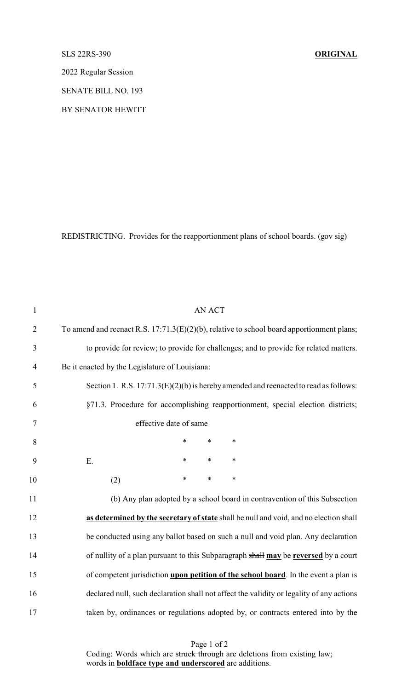## SLS 22RS-390 **ORIGINAL**

2022 Regular Session

SENATE BILL NO. 193

BY SENATOR HEWITT

REDISTRICTING. Provides for the reapportionment plans of school boards. (gov sig)

| $\mathbf{1}$   | <b>AN ACT</b>                                                                                |
|----------------|----------------------------------------------------------------------------------------------|
| $\overline{2}$ | To amend and reenact R.S. $17:71.3(E)(2)(b)$ , relative to school board apportionment plans; |
| 3              | to provide for review; to provide for challenges; and to provide for related matters.        |
| $\overline{4}$ | Be it enacted by the Legislature of Louisiana:                                               |
| 5              | Section 1. R.S. $17:71.3(E)(2)(b)$ is hereby amended and reenacted to read as follows:       |
| 6              | §71.3. Procedure for accomplishing reapportionment, special election districts;              |
| $\tau$         | effective date of same                                                                       |
| 8              | *<br>$\ast$<br>∗                                                                             |
| 9              | E.<br>$\ast$<br>$\ast$<br>$\ast$                                                             |
| 10             | $\ast$<br>$\ast$<br>$\ast$<br>(2)                                                            |
| 11             | (b) Any plan adopted by a school board in contravention of this Subsection                   |
| 12             | as determined by the secretary of state shall be null and void, and no election shall        |
| 13             | be conducted using any ballot based on such a null and void plan. Any declaration            |
| 14             | of nullity of a plan pursuant to this Subparagraph shall may be reversed by a court          |
| 15             | of competent jurisdiction upon petition of the school board. In the event a plan is          |
| 16             | declared null, such declaration shall not affect the validity or legality of any actions     |
| 17             | taken by, ordinances or regulations adopted by, or contracts entered into by the             |

Page 1 of 2 Coding: Words which are struck through are deletions from existing law; words in **boldface type and underscored** are additions.